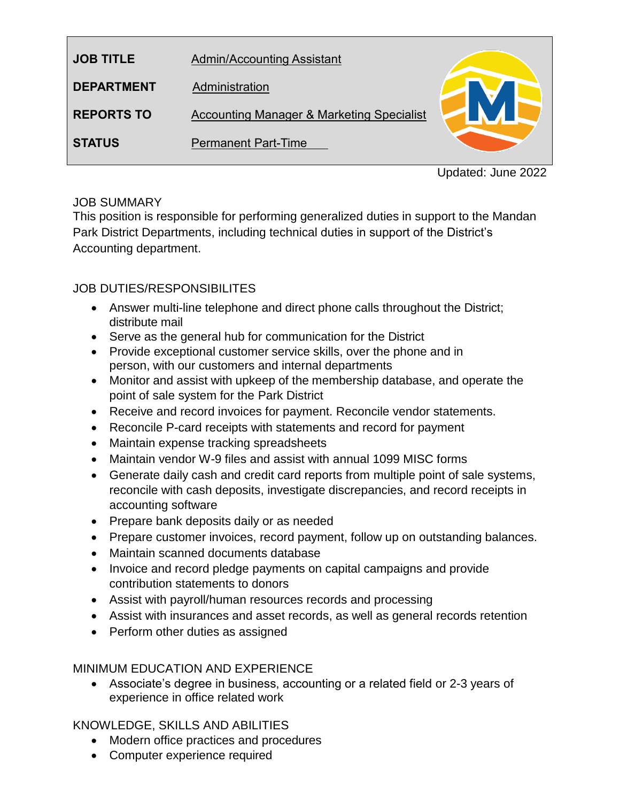| <b>JOB TITLE</b>  | <b>Admin/Accounting Assistant</b>                    |
|-------------------|------------------------------------------------------|
| <b>DEPARTMENT</b> | Administration                                       |
| <b>REPORTS TO</b> | <b>Accounting Manager &amp; Marketing Specialist</b> |
| <b>STATUS</b>     | <b>Permanent Part-Time</b>                           |

Updated: June 2022

## JOB SUMMARY

This position is responsible for performing generalized duties in support to the Mandan Park District Departments, including technical duties in support of the District's Accounting department.

# JOB DUTIES/RESPONSIBILITES

- Answer multi-line telephone and direct phone calls throughout the District; distribute mail
- Serve as the general hub for communication for the District
- Provide exceptional customer service skills, over the phone and in person, with our customers and internal departments
- Monitor and assist with upkeep of the membership database, and operate the point of sale system for the Park District
- Receive and record invoices for payment. Reconcile vendor statements.
- Reconcile P-card receipts with statements and record for payment
- Maintain expense tracking spreadsheets
- Maintain vendor W-9 files and assist with annual 1099 MISC forms
- Generate daily cash and credit card reports from multiple point of sale systems, reconcile with cash deposits, investigate discrepancies, and record receipts in accounting software
- Prepare bank deposits daily or as needed
- Prepare customer invoices, record payment, follow up on outstanding balances.
- Maintain scanned documents database
- Invoice and record pledge payments on capital campaigns and provide contribution statements to donors
- Assist with payroll/human resources records and processing
- Assist with insurances and asset records, as well as general records retention
- Perform other duties as assigned

## MINIMUM EDUCATION AND EXPERIENCE

 Associate's degree in business, accounting or a related field or 2-3 years of experience in office related work

## KNOWLEDGE, SKILLS AND ABILITIES

- Modern office practices and procedures
- Computer experience required